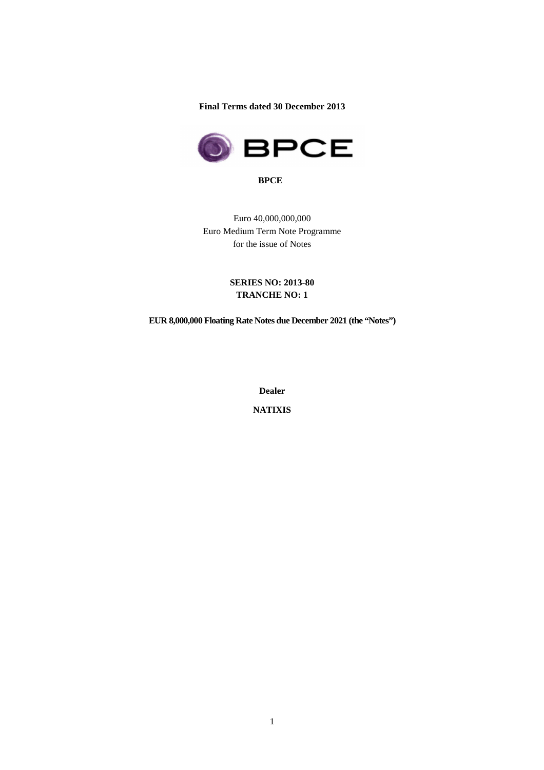**Final Terms dated 30 December 2013** 



**BPCE** 

Euro 40,000,000,000 Euro Medium Term Note Programme for the issue of Notes

# **SERIES NO: 2013-80 TRANCHE NO: 1**

**EUR 8,000,000 Floating Rate Notes due December 2021 (the "Notes")** 

**Dealer** 

**NATIXIS**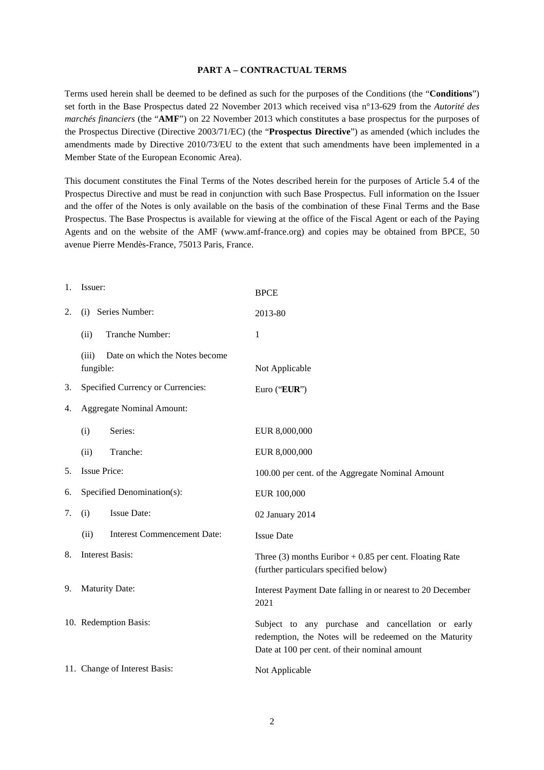#### **PART A – CONTRACTUAL TERMS**

Terms used herein shall be deemed to be defined as such for the purposes of the Conditions (the "**Conditions**") set forth in the Base Prospectus dated 22 November 2013 which received visa n°13-629 from the *Autorité des marchés financiers* (the "**AMF**") on 22 November 2013 which constitutes a base prospectus for the purposes of the Prospectus Directive (Directive 2003/71/EC) (the "**Prospectus Directive**") as amended (which includes the amendments made by Directive 2010/73/EU to the extent that such amendments have been implemented in a Member State of the European Economic Area).

This document constitutes the Final Terms of the Notes described herein for the purposes of Article 5.4 of the Prospectus Directive and must be read in conjunction with such Base Prospectus. Full information on the Issuer and the offer of the Notes is only available on the basis of the combination of these Final Terms and the Base Prospectus. The Base Prospectus is available for viewing at the office of the Fiscal Agent or each of the Paying Agents and on the website of the AMF (www.amf-france.org) and copies may be obtained from BPCE, 50 avenue Pierre Mendès-France, 75013 Paris, France.

# 1. Issuer: BPCE 2. (i) Series Number: 2013-80 (ii) Tranche Number: 1 (iii)Date on which the Notes become fungible: Not Applicable 3. Specified Currency or Currencies: Euro ("**EUR**") 4. Aggregate Nominal Amount: (i) Series: EUR 8,000,000 (ii) Tranche: EUR 8,000,000 5. Issue Price: 100.00 per cent. of the Aggregate Nominal Amount 6. Specified Denomination(s): EUR 100,000 7. (i) Issue Date: 02 January 2014 (ii) Interest Commencement Date: Issue Date 8. Interest Basis: Three (3) months Euribor + 0.85 per cent. Floating Rate (further particulars specified below) 9. Maturity Date: Interest Payment Date falling in or nearest to 20 December 2021 10. Redemption Basis: Subject to any purchase and cancellation or early redemption, the Notes will be redeemed on the Maturity Date at 100 per cent. of their nominal amount 11. Change of Interest Basis: Not Applicable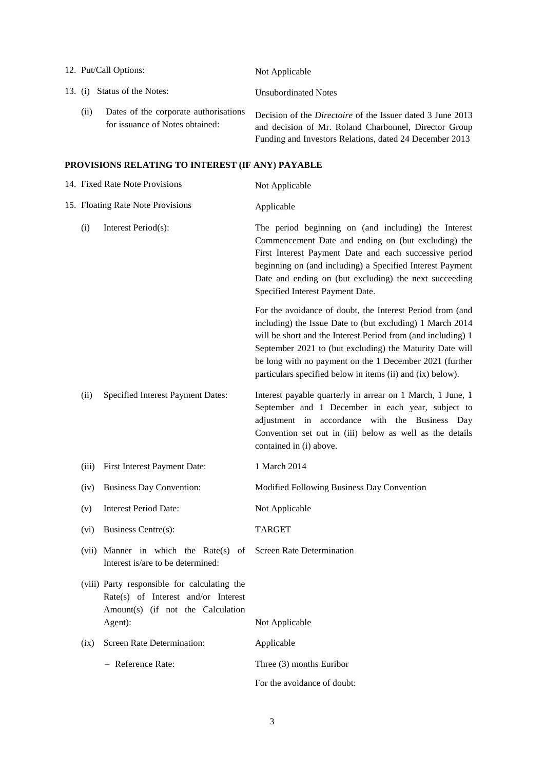|                              | 12. Put/Call Options:                                                                                                               | Not Applicable                                                                                                                                                                                                                                                                                                                                                              |  |  |
|------------------------------|-------------------------------------------------------------------------------------------------------------------------------------|-----------------------------------------------------------------------------------------------------------------------------------------------------------------------------------------------------------------------------------------------------------------------------------------------------------------------------------------------------------------------------|--|--|
| 13. (i) Status of the Notes: |                                                                                                                                     | <b>Unsubordinated Notes</b>                                                                                                                                                                                                                                                                                                                                                 |  |  |
| (ii)                         | Dates of the corporate authorisations<br>for issuance of Notes obtained:                                                            | Decision of the <i>Directoire</i> of the Issuer dated 3 June 2013<br>and decision of Mr. Roland Charbonnel, Director Group<br>Funding and Investors Relations, dated 24 December 2013                                                                                                                                                                                       |  |  |
|                              | PROVISIONS RELATING TO INTEREST (IF ANY) PAYABLE                                                                                    |                                                                                                                                                                                                                                                                                                                                                                             |  |  |
|                              | 14. Fixed Rate Note Provisions                                                                                                      | Not Applicable                                                                                                                                                                                                                                                                                                                                                              |  |  |
|                              | 15. Floating Rate Note Provisions                                                                                                   | Applicable                                                                                                                                                                                                                                                                                                                                                                  |  |  |
| (i)                          | Interest Period(s):                                                                                                                 | The period beginning on (and including) the Interest<br>Commencement Date and ending on (but excluding) the<br>First Interest Payment Date and each successive period<br>beginning on (and including) a Specified Interest Payment<br>Date and ending on (but excluding) the next succeeding<br>Specified Interest Payment Date.                                            |  |  |
|                              |                                                                                                                                     | For the avoidance of doubt, the Interest Period from (and<br>including) the Issue Date to (but excluding) 1 March 2014<br>will be short and the Interest Period from (and including) 1<br>September 2021 to (but excluding) the Maturity Date will<br>be long with no payment on the 1 December 2021 (further<br>particulars specified below in items (ii) and (ix) below). |  |  |
| (ii)                         | <b>Specified Interest Payment Dates:</b>                                                                                            | Interest payable quarterly in arrear on 1 March, 1 June, 1<br>September and 1 December in each year, subject to<br>adjustment in accordance with the Business Day<br>Convention set out in (iii) below as well as the details<br>contained in (i) above.                                                                                                                    |  |  |
| (iii)                        | First Interest Payment Date:                                                                                                        | 1 March 2014                                                                                                                                                                                                                                                                                                                                                                |  |  |
| (iv)                         | <b>Business Day Convention:</b>                                                                                                     | Modified Following Business Day Convention                                                                                                                                                                                                                                                                                                                                  |  |  |
| (v)                          | <b>Interest Period Date:</b>                                                                                                        | Not Applicable                                                                                                                                                                                                                                                                                                                                                              |  |  |
| (vi)                         | Business Centre(s):                                                                                                                 | <b>TARGET</b>                                                                                                                                                                                                                                                                                                                                                               |  |  |
|                              | (vii) Manner in which the Rate(s) of<br>Interest is/are to be determined:                                                           | <b>Screen Rate Determination</b>                                                                                                                                                                                                                                                                                                                                            |  |  |
|                              | (viii) Party responsible for calculating the<br>Rate(s) of Interest and/or Interest<br>Amount(s) (if not the Calculation<br>Agent): | Not Applicable                                                                                                                                                                                                                                                                                                                                                              |  |  |
| (ix)                         | Screen Rate Determination:                                                                                                          | Applicable                                                                                                                                                                                                                                                                                                                                                                  |  |  |
|                              | - Reference Rate:                                                                                                                   | Three (3) months Euribor                                                                                                                                                                                                                                                                                                                                                    |  |  |

For the avoidance of doubt: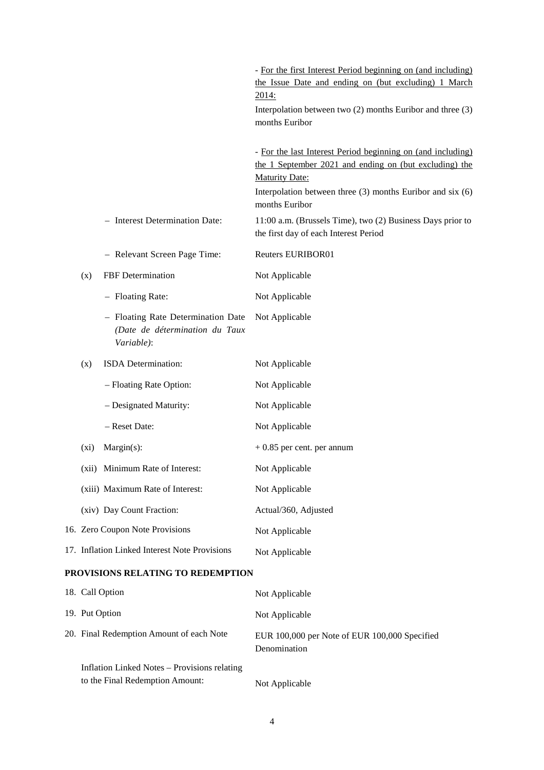|         |                                                                                    | - For the first Interest Period beginning on (and including)<br>the Issue Date and ending on (but excluding) 1 March<br><u>2014:</u><br>Interpolation between two $(2)$ months Euribor and three $(3)$<br>months Euribor           |
|---------|------------------------------------------------------------------------------------|------------------------------------------------------------------------------------------------------------------------------------------------------------------------------------------------------------------------------------|
|         |                                                                                    | - For the last Interest Period beginning on (and including)<br>the 1 September 2021 and ending on (but excluding) the<br><b>Maturity Date:</b><br>Interpolation between three $(3)$ months Euribor and six $(6)$<br>months Euribor |
|         | - Interest Determination Date:                                                     | 11:00 a.m. (Brussels Time), two (2) Business Days prior to<br>the first day of each Interest Period                                                                                                                                |
|         | - Relevant Screen Page Time:                                                       | <b>Reuters EURIBOR01</b>                                                                                                                                                                                                           |
| (x)     | FBF Determination                                                                  | Not Applicable                                                                                                                                                                                                                     |
|         | - Floating Rate:                                                                   | Not Applicable                                                                                                                                                                                                                     |
|         | - Floating Rate Determination Date<br>(Date de détermination du Taux<br>Variable): | Not Applicable                                                                                                                                                                                                                     |
| (x)     | ISDA Determination:                                                                | Not Applicable                                                                                                                                                                                                                     |
|         | - Floating Rate Option:                                                            | Not Applicable                                                                                                                                                                                                                     |
|         | - Designated Maturity:                                                             | Not Applicable                                                                                                                                                                                                                     |
|         | - Reset Date:                                                                      | Not Applicable                                                                                                                                                                                                                     |
| $(x_i)$ | $Margin(s)$ :                                                                      | $+0.85$ per cent. per annum                                                                                                                                                                                                        |
|         | (xii) Minimum Rate of Interest:                                                    | Not Applicable                                                                                                                                                                                                                     |
|         | (xiii) Maximum Rate of Interest:                                                   | Not Applicable                                                                                                                                                                                                                     |
|         | (xiv) Day Count Fraction:                                                          | Actual/360, Adjusted                                                                                                                                                                                                               |
|         | 16. Zero Coupon Note Provisions                                                    | Not Applicable                                                                                                                                                                                                                     |
|         | 17. Inflation Linked Interest Note Provisions                                      | Not Applicable                                                                                                                                                                                                                     |
|         | PROVISIONS RELATING TO REDEMPTION                                                  |                                                                                                                                                                                                                                    |
|         | 18. Call Option                                                                    | Not Applicable                                                                                                                                                                                                                     |
|         | 19. Put Option                                                                     | Not Applicable                                                                                                                                                                                                                     |
|         | 20. Final Redemption Amount of each Note                                           | EUR 100,000 per Note of EUR 100,000 Specified<br>Denomination                                                                                                                                                                      |

Inflation Linked Notes – Provisions relating to the Final Redemption Amount: Not Applicable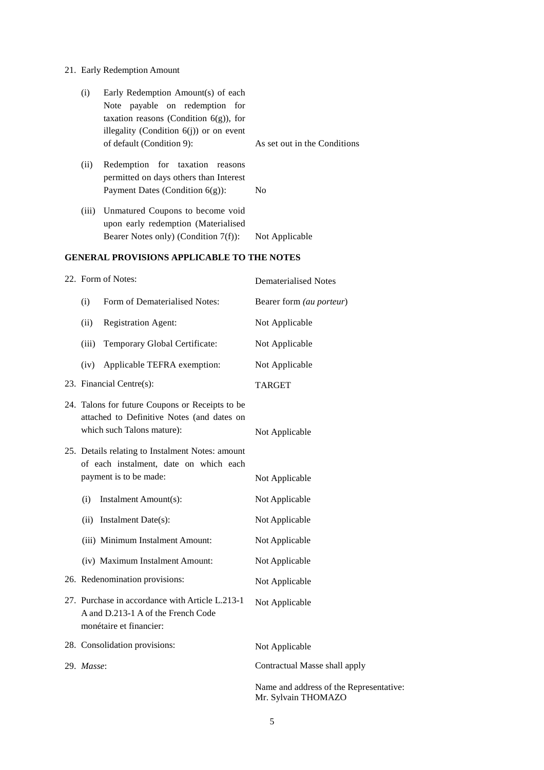# 21. Early Redemption Amount

| Early Redemption Amount(s) of each<br>(i) |       |                                                                           |                                 |
|-------------------------------------------|-------|---------------------------------------------------------------------------|---------------------------------|
|                                           |       | Note payable on redemption for                                            |                                 |
|                                           |       | taxation reasons (Condition $6(g)$ ), for                                 |                                 |
|                                           |       | illegality (Condition $6(j)$ ) or on event                                |                                 |
|                                           |       | of default (Condition 9):                                                 | As set out in the Conditions    |
|                                           | (ii)  | Redemption for taxation reasons<br>permitted on days others than Interest |                                 |
|                                           |       | Payment Dates (Condition $6(g)$ ):                                        | N <sub>0</sub>                  |
|                                           |       |                                                                           |                                 |
|                                           | (iii) | Unmatured Coupons to become void                                          |                                 |
|                                           |       | upon early redemption (Materialised                                       |                                 |
|                                           |       | Bearer Notes only) (Condition $7(f)$ ):                                   | Not Applicable                  |
|                                           |       | <b>GENERAL PROVISIONS APPLICABLE TO THE NOTES</b>                         |                                 |
|                                           |       | 22. Form of Notes:                                                        | Dematerialised Notes            |
|                                           | (i)   | Form of Dematerialised Notes:                                             | Bearer form <i>(au porteur)</i> |

| (i)        | Form of Dematerialised Notes:                                                                                               | Bearer form (au porteur)                                       |
|------------|-----------------------------------------------------------------------------------------------------------------------------|----------------------------------------------------------------|
| (ii)       | <b>Registration Agent:</b>                                                                                                  | Not Applicable                                                 |
| (iii)      | Temporary Global Certificate:                                                                                               | Not Applicable                                                 |
| (iv)       | Applicable TEFRA exemption:                                                                                                 | Not Applicable                                                 |
|            | 23. Financial Centre(s):                                                                                                    | <b>TARGET</b>                                                  |
|            | 24. Talons for future Coupons or Receipts to be<br>attached to Definitive Notes (and dates on<br>which such Talons mature): | Not Applicable                                                 |
|            | 25. Details relating to Instalment Notes: amount<br>of each instalment, date on which each<br>payment is to be made:        | Not Applicable                                                 |
| (i)        | Instalment Amount(s):                                                                                                       | Not Applicable                                                 |
|            | (ii) Instalment Date(s):                                                                                                    | Not Applicable                                                 |
|            | (iii) Minimum Instalment Amount:                                                                                            | Not Applicable                                                 |
|            | (iv) Maximum Instalment Amount:                                                                                             | Not Applicable                                                 |
|            | 26. Redenomination provisions:                                                                                              | Not Applicable                                                 |
|            | 27. Purchase in accordance with Article L.213-1<br>A and D.213-1 A of the French Code<br>monétaire et financier:            | Not Applicable                                                 |
|            | 28. Consolidation provisions:                                                                                               | Not Applicable                                                 |
| 29. Masse: |                                                                                                                             | Contractual Masse shall apply                                  |
|            |                                                                                                                             | Name and address of the Representative:<br>Mr. Sylvain THOMAZO |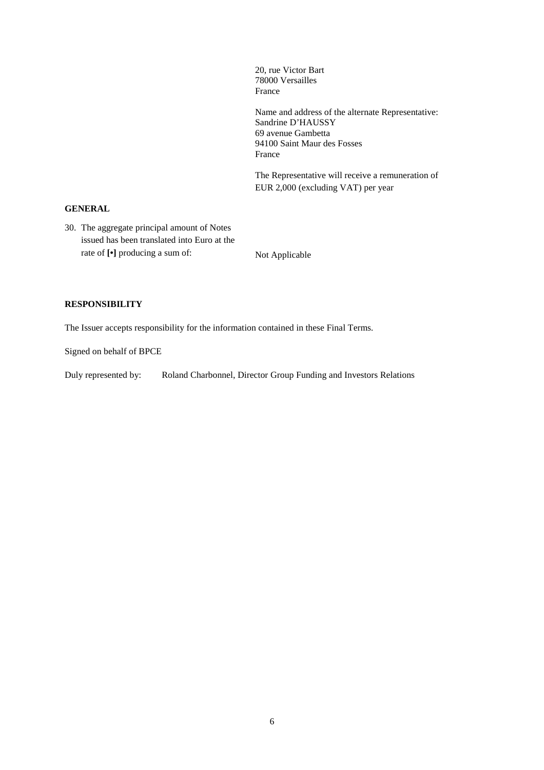78000 Versailles France Name and address of the alternate Representative: Sandrine D'HAUSSY 69 avenue Gambetta 94100 Saint Maur des Fosses France

20, rue Victor Bart

The Representative will receive a remuneration of EUR 2,000 (excluding VAT) per year

### **GENERAL**

30. The aggregate principal amount of Notes issued has been translated into Euro at the rate of  $\lbrack \cdot \rbrack$  producing a sum of: Not Applicable

#### **RESPONSIBILITY**

The Issuer accepts responsibility for the information contained in these Final Terms.

Signed on behalf of BPCE

Duly represented by: Roland Charbonnel, Director Group Funding and Investors Relations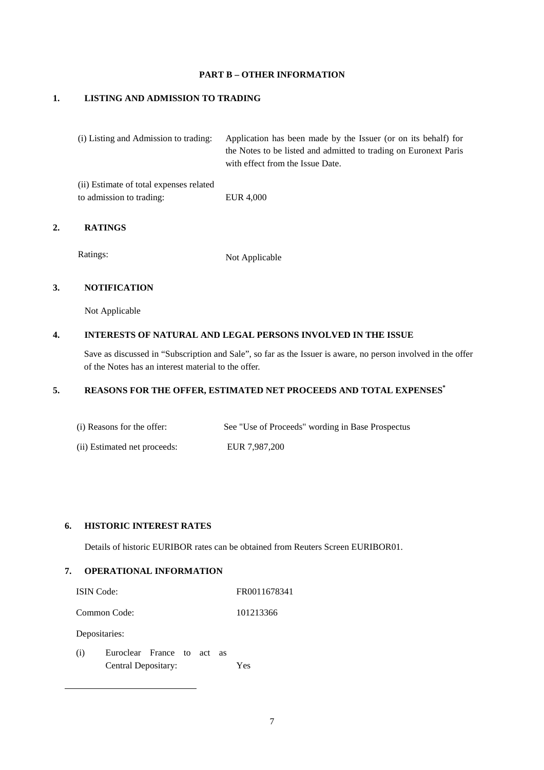#### **PART B – OTHER INFORMATION**

#### **1. LISTING AND ADMISSION TO TRADING**

to admission to trading: EUR 4,000

| (i) Listing and Admission to trading:   | Application has been made by the Issuer (or on its behalf) for   |
|-----------------------------------------|------------------------------------------------------------------|
|                                         | the Notes to be listed and admitted to trading on Euronext Paris |
|                                         | with effect from the Issue Date.                                 |
| (ii) Estimate of total expenses related |                                                                  |

#### **2. RATINGS**

Ratings: Not Applicable

# **3. NOTIFICATION**

Not Applicable

#### **4. INTERESTS OF NATURAL AND LEGAL PERSONS INVOLVED IN THE ISSUE**

Save as discussed in "Subscription and Sale", so far as the Issuer is aware, no person involved in the offer of the Notes has an interest material to the offer.

# **5. REASONS FOR THE OFFER, ESTIMATED NET PROCEEDS AND TOTAL EXPENSES\***

| (i) Reasons for the offer:   | See "Use of Proceeds" wording in Base Prospectus |
|------------------------------|--------------------------------------------------|
| (ii) Estimated net proceeds: | EUR 7.987.200                                    |

# **6. HISTORIC INTEREST RATES**

Details of historic EURIBOR rates can be obtained from Reuters Screen EURIBOR01.

# **7. OPERATIONAL INFORMATION**

| <b>ISIN</b> Code: | FR0011678341 |
|-------------------|--------------|
|-------------------|--------------|

Common Code: 101213366

Depositaries:

-

(i) Euroclear France to act as Central Depositary: Yes